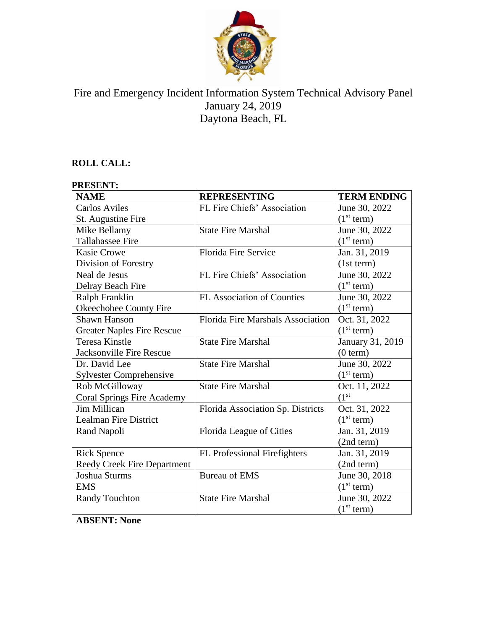

# Fire and Emergency Incident Information System Technical Advisory Panel January 24, 2019 Daytona Beach, FL

# **ROLL CALL:**

#### **PRESENT: NAME REPRESENTING TERM ENDING** Carlos Aviles St. Augustine Fire FL Fire Chiefs' Association June 30, 2022  $(1<sup>st</sup> term)$ Mike Bellamy Tallahassee Fire State Fire Marshal June 30, 2022  $(1<sup>st</sup> term)$ Kasie Crowe Division of Forestry Florida Fire Service Jan. 31, 2019 (1st term) Neal de Jesus Delray Beach Fire FL Fire Chiefs' Association | June 30, 2022  $(1<sup>st</sup> term)$ Ralph Franklin Okeechobee County Fire FL Association of Counties June 30, 2022  $(1<sup>st</sup> term)$ Shawn Hanson Greater Naples Fire Rescue Florida Fire Marshals Association | Oct. 31, 2022  $(1<sup>st</sup> term)$ Teresa Kinstle Jacksonville Fire Rescue State Fire Marshal January 31, 2019  $(0 term)$ Dr. David Lee Sylvester Comprehensive State Fire Marshal June 30, 2022  $(1<sup>st</sup> term)$ Rob McGilloway Coral Springs Fire Academy State Fire Marshal Oct. 11, 2022  $\frac{(1^{st}}{\text{Oct. 31. 2022}}$ Jim Millican Lealman Fire District Florida Association Sp. Districts  $(1<sup>st</sup> term)$ Rand Napoli Florida League of Cities Jan. 31, 2019 (2nd term) Rick Spence Reedy Creek Fire Department FL Professional Firefighters | Jan. 31, 2019 (2nd term) Joshua Sturms EMS Bureau of EMS June 30, 2018  $(1<sup>st</sup> term)$ Randy Touchton State Fire Marshal June 30, 2022

 $(1<sup>st</sup> term)$ 

**ABSENT: None**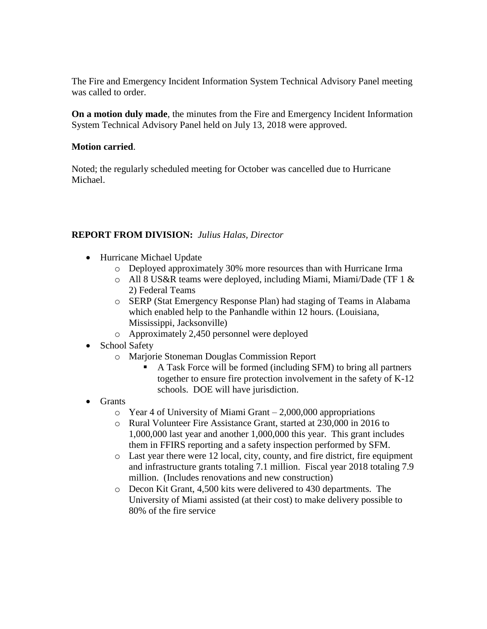The Fire and Emergency Incident Information System Technical Advisory Panel meeting was called to order.

**On a motion duly made**, the minutes from the Fire and Emergency Incident Information System Technical Advisory Panel held on July 13, 2018 were approved.

#### **Motion carried**.

Noted; the regularly scheduled meeting for October was cancelled due to Hurricane Michael.

#### **REPORT FROM DIVISION:** *Julius Halas, Director*

- Hurricane Michael Update
	- o Deployed approximately 30% more resources than with Hurricane Irma
	- o All 8 US&R teams were deployed, including Miami, Miami/Dade (TF 1 & 2) Federal Teams
	- o SERP (Stat Emergency Response Plan) had staging of Teams in Alabama which enabled help to the Panhandle within 12 hours. (Louisiana, Mississippi, Jacksonville)
	- o Approximately 2,450 personnel were deployed
- School Safety
	- o Marjorie Stoneman Douglas Commission Report
		- A Task Force will be formed (including SFM) to bring all partners together to ensure fire protection involvement in the safety of K-12 schools. DOE will have jurisdiction.
- Grants
	- $\circ$  Year 4 of University of Miami Grant 2,000,000 appropriations
	- o Rural Volunteer Fire Assistance Grant, started at 230,000 in 2016 to 1,000,000 last year and another 1,000,000 this year. This grant includes them in FFIRS reporting and a safety inspection performed by SFM.
	- o Last year there were 12 local, city, county, and fire district, fire equipment and infrastructure grants totaling 7.1 million. Fiscal year 2018 totaling 7.9 million. (Includes renovations and new construction)
	- o Decon Kit Grant, 4,500 kits were delivered to 430 departments. The University of Miami assisted (at their cost) to make delivery possible to 80% of the fire service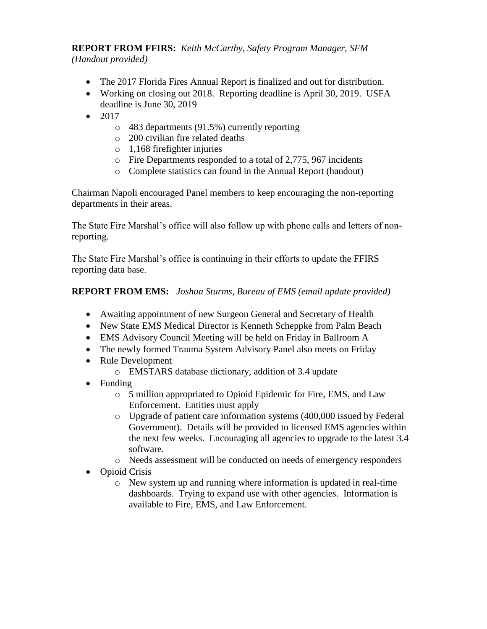**REPORT FROM FFIRS:** *Keith McCarthy, Safety Program Manager, SFM (Handout provided)*

- The 2017 Florida Fires Annual Report is finalized and out for distribution.
- Working on closing out 2018. Reporting deadline is April 30, 2019. USFA deadline is June 30, 2019
- $2017$ 
	- o 483 departments (91.5%) currently reporting
	- o 200 civilian fire related deaths
	- o 1,168 firefighter injuries
	- o Fire Departments responded to a total of 2,775, 967 incidents
	- o Complete statistics can found in the Annual Report (handout)

Chairman Napoli encouraged Panel members to keep encouraging the non-reporting departments in their areas.

The State Fire Marshal's office will also follow up with phone calls and letters of nonreporting.

The State Fire Marshal's office is continuing in their efforts to update the FFIRS reporting data base.

# **REPORT FROM EMS:** *Joshua Sturms, Bureau of EMS (email update provided)*

- Awaiting appointment of new Surgeon General and Secretary of Health
- New State EMS Medical Director is Kenneth Scheppke from Palm Beach
- EMS Advisory Council Meeting will be held on Friday in Ballroom A
- The newly formed Trauma System Advisory Panel also meets on Friday
- Rule Development
	- o EMSTARS database dictionary, addition of 3.4 update
- Funding
	- o 5 million appropriated to Opioid Epidemic for Fire, EMS, and Law Enforcement. Entities must apply
	- o Upgrade of patient care information systems (400,000 issued by Federal Government). Details will be provided to licensed EMS agencies within the next few weeks. Encouraging all agencies to upgrade to the latest 3.4 software.
	- o Needs assessment will be conducted on needs of emergency responders
- Opioid Crisis
	- o New system up and running where information is updated in real-time dashboards. Trying to expand use with other agencies. Information is available to Fire, EMS, and Law Enforcement.